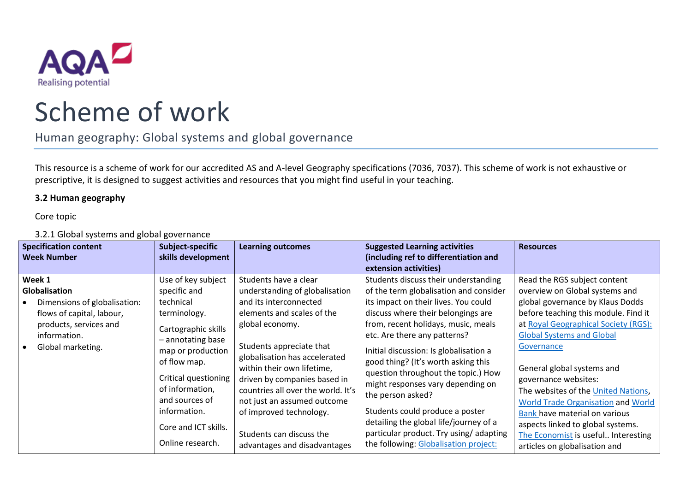

## Scheme of work

Human geography: Global systems and global governance

This resource is a scheme of work for our accredited AS and A-level Geography specifications (7036, 7037). This scheme of work is not exhaustive or prescriptive, it is designed to suggest activities and resources that you might find useful in your teaching.

## **3.2 Human geography**

Core topic

3.2.1 Global systems and global governance

| <b>Specification content</b><br><b>Week Number</b>                                                                                                  | Subject-specific<br>skills development                                                                                                                                                                                                                                    | <b>Learning outcomes</b>                                                                                                                                                                                                                                                                                                                                                                                                  | <b>Suggested Learning activities</b><br>(including ref to differentiation and<br>extension activities)                                                                                                                                                                                                                                                                                                                                                                                                                                                                                | <b>Resources</b>                                                                                                                                                                                                                                                                                                                                                                                                                                                                                                      |
|-----------------------------------------------------------------------------------------------------------------------------------------------------|---------------------------------------------------------------------------------------------------------------------------------------------------------------------------------------------------------------------------------------------------------------------------|---------------------------------------------------------------------------------------------------------------------------------------------------------------------------------------------------------------------------------------------------------------------------------------------------------------------------------------------------------------------------------------------------------------------------|---------------------------------------------------------------------------------------------------------------------------------------------------------------------------------------------------------------------------------------------------------------------------------------------------------------------------------------------------------------------------------------------------------------------------------------------------------------------------------------------------------------------------------------------------------------------------------------|-----------------------------------------------------------------------------------------------------------------------------------------------------------------------------------------------------------------------------------------------------------------------------------------------------------------------------------------------------------------------------------------------------------------------------------------------------------------------------------------------------------------------|
| Week 1<br>Globalisation<br>Dimensions of globalisation:<br>flows of capital, labour,<br>products, services and<br>information.<br>Global marketing. | Use of key subject<br>specific and<br>technical<br>terminology.<br>Cartographic skills<br>- annotating base<br>map or production<br>of flow map.<br>Critical questioning<br>of information,<br>and sources of<br>information.<br>Core and ICT skills.<br>Online research. | Students have a clear<br>understanding of globalisation<br>and its interconnected<br>elements and scales of the<br>global economy.<br>Students appreciate that<br>globalisation has accelerated<br>within their own lifetime,<br>driven by companies based in<br>countries all over the world. It's<br>not just an assumed outcome<br>of improved technology.<br>Students can discuss the<br>advantages and disadvantages | Students discuss their understanding<br>of the term globalisation and consider<br>its impact on their lives. You could<br>discuss where their belongings are<br>from, recent holidays, music, meals<br>etc. Are there any patterns?<br>Initial discussion: Is globalisation a<br>good thing? (It's worth asking this<br>question throughout the topic.) How<br>might responses vary depending on<br>the person asked?<br>Students could produce a poster<br>detailing the global life/journey of a<br>particular product. Try using/adapting<br>the following: Globalisation project: | Read the RGS subject content<br>overview on Global systems and<br>global governance by Klaus Dodds<br>before teaching this module. Find it<br>at Royal Geographical Society (RGS):<br><b>Global Systems and Global</b><br>Governance<br>General global systems and<br>governance websites:<br>The websites of the United Nations,<br>World Trade Organisation and World<br>Bank have material on various<br>aspects linked to global systems.<br>The Economist is useful Interesting<br>articles on globalisation and |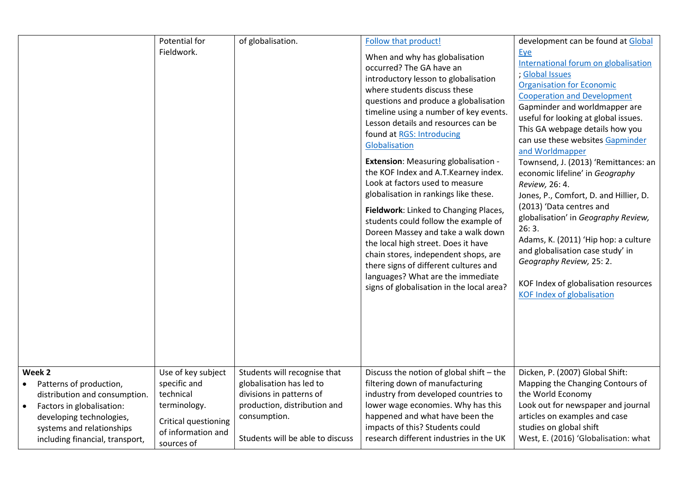|                                                                                                                                                                                                          | Potential for                                                                                                               | of globalisation.                                                                                                                                                        | Follow that product!                                                                                                                                                                                                                                                                                                                                                                                                                                                                                                                                                                                                                                                                                                                                                                                           | development can be found at Global                                                                                                                                                                                                                                                                                                                                                                                                                                                                                                                                                                                                                                                                                  |
|----------------------------------------------------------------------------------------------------------------------------------------------------------------------------------------------------------|-----------------------------------------------------------------------------------------------------------------------------|--------------------------------------------------------------------------------------------------------------------------------------------------------------------------|----------------------------------------------------------------------------------------------------------------------------------------------------------------------------------------------------------------------------------------------------------------------------------------------------------------------------------------------------------------------------------------------------------------------------------------------------------------------------------------------------------------------------------------------------------------------------------------------------------------------------------------------------------------------------------------------------------------------------------------------------------------------------------------------------------------|---------------------------------------------------------------------------------------------------------------------------------------------------------------------------------------------------------------------------------------------------------------------------------------------------------------------------------------------------------------------------------------------------------------------------------------------------------------------------------------------------------------------------------------------------------------------------------------------------------------------------------------------------------------------------------------------------------------------|
|                                                                                                                                                                                                          | Fieldwork.                                                                                                                  |                                                                                                                                                                          | When and why has globalisation<br>occurred? The GA have an<br>introductory lesson to globalisation<br>where students discuss these<br>questions and produce a globalisation<br>timeline using a number of key events.<br>Lesson details and resources can be<br>found at RGS: Introducing<br>Globalisation<br><b>Extension:</b> Measuring globalisation -<br>the KOF Index and A.T.Kearney index.<br>Look at factors used to measure<br>globalisation in rankings like these.<br>Fieldwork: Linked to Changing Places,<br>students could follow the example of<br>Doreen Massey and take a walk down<br>the local high street. Does it have<br>chain stores, independent shops, are<br>there signs of different cultures and<br>languages? What are the immediate<br>signs of globalisation in the local area? | Eye<br>International forum on globalisation<br>; Global Issues<br><b>Organisation for Economic</b><br><b>Cooperation and Development</b><br>Gapminder and worldmapper are<br>useful for looking at global issues.<br>This GA webpage details how you<br>can use these websites Gapminder<br>and Worldmapper<br>Townsend, J. (2013) 'Remittances: an<br>economic lifeline' in Geography<br>Review, 26: 4.<br>Jones, P., Comfort, D. and Hillier, D.<br>(2013) 'Data centres and<br>globalisation' in Geography Review,<br>26:3.<br>Adams, K. (2011) 'Hip hop: a culture<br>and globalisation case study' in<br>Geography Review, 25: 2.<br>KOF Index of globalisation resources<br><b>KOF Index of globalisation</b> |
| Week 2<br>Patterns of production,<br>distribution and consumption.<br>Factors in globalisation:<br>$\bullet$<br>developing technologies,<br>systems and relationships<br>including financial, transport, | Use of key subject<br>specific and<br>technical<br>terminology.<br>Critical questioning<br>of information and<br>sources of | Students will recognise that<br>globalisation has led to<br>divisions in patterns of<br>production, distribution and<br>consumption.<br>Students will be able to discuss | Discuss the notion of global shift - the<br>filtering down of manufacturing<br>industry from developed countries to<br>lower wage economies. Why has this<br>happened and what have been the<br>impacts of this? Students could<br>research different industries in the UK                                                                                                                                                                                                                                                                                                                                                                                                                                                                                                                                     | Dicken, P. (2007) Global Shift:<br>Mapping the Changing Contours of<br>the World Economy<br>Look out for newspaper and journal<br>articles on examples and case<br>studies on global shift<br>West, E. (2016) 'Globalisation: what                                                                                                                                                                                                                                                                                                                                                                                                                                                                                  |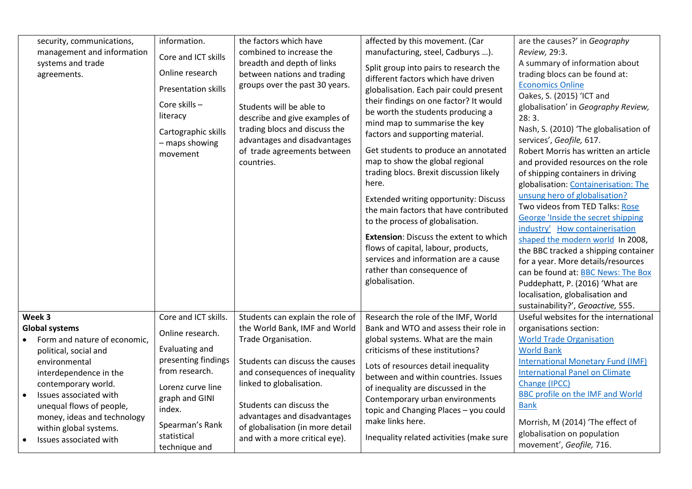| security, communications,<br>management and information<br>systems and trade<br>agreements.                                                                                                                                                                                                                                   | information.<br>Core and ICT skills<br>Online research<br><b>Presentation skills</b><br>Core skills -<br>literacy<br>Cartographic skills<br>- maps showing<br>movement                                  | the factors which have<br>combined to increase the<br>breadth and depth of links<br>between nations and trading<br>groups over the past 30 years.<br>Students will be able to<br>describe and give examples of<br>trading blocs and discuss the<br>advantages and disadvantages<br>of trade agreements between<br>countries. | affected by this movement. (Car<br>manufacturing, steel, Cadburys ).<br>Split group into pairs to research the<br>different factors which have driven<br>globalisation. Each pair could present<br>their findings on one factor? It would<br>be worth the students producing a<br>mind map to summarise the key<br>factors and supporting material.<br>Get students to produce an annotated<br>map to show the global regional<br>trading blocs. Brexit discussion likely<br>here.<br><b>Extended writing opportunity: Discuss</b><br>the main factors that have contributed<br>to the process of globalisation.<br><b>Extension: Discuss the extent to which</b><br>flows of capital, labour, products,<br>services and information are a cause | are the causes?' in Geography<br>Review, 29:3.<br>A summary of information about<br>trading blocs can be found at:<br><b>Economics Online</b><br>Oakes, S. (2015) 'ICT and<br>globalisation' in Geography Review,<br>28:3.<br>Nash, S. (2010) 'The globalisation of<br>services', Geofile, 617.<br>Robert Morris has written an article<br>and provided resources on the role<br>of shipping containers in driving<br>globalisation: Containerisation: The<br>unsung hero of globalisation?<br>Two videos from TED Talks: Rose<br>George 'Inside the secret shipping<br>industry' How containerisation<br>shaped the modern world In 2008,<br>the BBC tracked a shipping container |
|-------------------------------------------------------------------------------------------------------------------------------------------------------------------------------------------------------------------------------------------------------------------------------------------------------------------------------|---------------------------------------------------------------------------------------------------------------------------------------------------------------------------------------------------------|------------------------------------------------------------------------------------------------------------------------------------------------------------------------------------------------------------------------------------------------------------------------------------------------------------------------------|--------------------------------------------------------------------------------------------------------------------------------------------------------------------------------------------------------------------------------------------------------------------------------------------------------------------------------------------------------------------------------------------------------------------------------------------------------------------------------------------------------------------------------------------------------------------------------------------------------------------------------------------------------------------------------------------------------------------------------------------------|------------------------------------------------------------------------------------------------------------------------------------------------------------------------------------------------------------------------------------------------------------------------------------------------------------------------------------------------------------------------------------------------------------------------------------------------------------------------------------------------------------------------------------------------------------------------------------------------------------------------------------------------------------------------------------|
| Week 3<br><b>Global systems</b><br>Form and nature of economic,<br>political, social and<br>environmental<br>interdependence in the<br>contemporary world.<br>Issues associated with<br>$\bullet$<br>unequal flows of people,<br>money, ideas and technology<br>within global systems.<br>Issues associated with<br>$\bullet$ | Core and ICT skills.<br>Online research.<br>Evaluating and<br>presenting findings<br>from research.<br>Lorenz curve line<br>graph and GINI<br>index.<br>Spearman's Rank<br>statistical<br>technique and | Students can explain the role of<br>the World Bank, IMF and World<br>Trade Organisation.<br>Students can discuss the causes<br>and consequences of inequality<br>linked to globalisation.<br>Students can discuss the<br>advantages and disadvantages<br>of globalisation (in more detail<br>and with a more critical eye).  | Research the role of the IMF, World<br>Bank and WTO and assess their role in<br>global systems. What are the main<br>criticisms of these institutions?<br>Lots of resources detail inequality<br>between and within countries. Issues<br>of inequality are discussed in the<br>Contemporary urban environments<br>topic and Changing Places - you could<br>make links here.<br>Inequality related activities (make sure                                                                                                                                                                                                                                                                                                                          | Puddephatt, P. (2016) 'What are<br>localisation, globalisation and<br>sustainability?', Geoactive, 555.<br>Useful websites for the international<br>organisations section:<br><b>World Trade Organisation</b><br><b>World Bank</b><br><b>International Monetary Fund (IMF)</b><br><b>International Panel on Climate</b><br>Change (IPCC)<br><b>BBC profile on the IMF and World</b><br><b>Bank</b><br>Morrish, M (2014) 'The effect of<br>globalisation on population<br>movement', Geofile, 716.                                                                                                                                                                                  |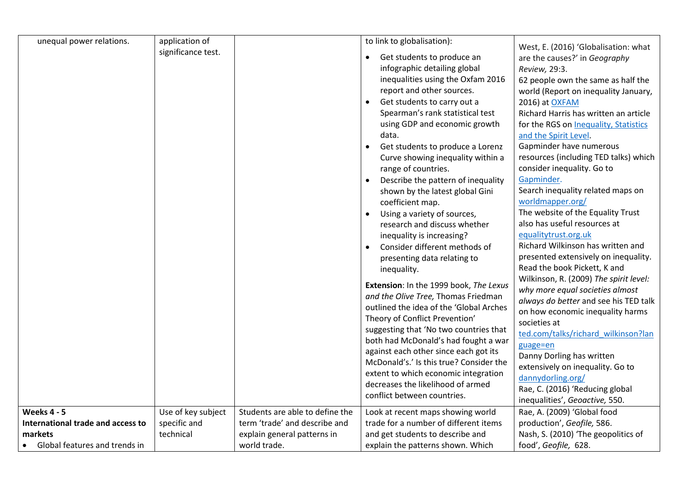| unequal power relations.          | application of     |                                 | to link to globalisation):               |                                        |
|-----------------------------------|--------------------|---------------------------------|------------------------------------------|----------------------------------------|
|                                   |                    |                                 |                                          | West, E. (2016) 'Globalisation: what   |
|                                   | significance test. |                                 | Get students to produce an<br>$\bullet$  | are the causes?' in Geography          |
|                                   |                    |                                 | infographic detailing global             | Review, 29:3.                          |
|                                   |                    |                                 | inequalities using the Oxfam 2016        | 62 people own the same as half the     |
|                                   |                    |                                 | report and other sources.                | world (Report on inequality January,   |
|                                   |                    |                                 | Get students to carry out a<br>$\bullet$ | 2016) at OXFAM                         |
|                                   |                    |                                 | Spearman's rank statistical test         | Richard Harris has written an article  |
|                                   |                    |                                 | using GDP and economic growth            | for the RGS on Inequality, Statistics  |
|                                   |                    |                                 | data.                                    | and the Spirit Level.                  |
|                                   |                    |                                 |                                          | Gapminder have numerous                |
|                                   |                    |                                 | Get students to produce a Lorenz         |                                        |
|                                   |                    |                                 | Curve showing inequality within a        | resources (including TED talks) which  |
|                                   |                    |                                 | range of countries.                      | consider inequality. Go to             |
|                                   |                    |                                 | Describe the pattern of inequality       | Gapminder.                             |
|                                   |                    |                                 | shown by the latest global Gini          | Search inequality related maps on      |
|                                   |                    |                                 | coefficient map.                         | worldmapper.org/                       |
|                                   |                    |                                 | Using a variety of sources,              | The website of the Equality Trust      |
|                                   |                    |                                 | research and discuss whether             | also has useful resources at           |
|                                   |                    |                                 | inequality is increasing?                | equalitytrust.org.uk                   |
|                                   |                    |                                 | Consider different methods of            | Richard Wilkinson has written and      |
|                                   |                    |                                 | presenting data relating to              | presented extensively on inequality.   |
|                                   |                    |                                 | inequality.                              | Read the book Pickett, K and           |
|                                   |                    |                                 | Extension: In the 1999 book, The Lexus   | Wilkinson, R. (2009) The spirit level: |
|                                   |                    |                                 | and the Olive Tree, Thomas Friedman      | why more equal societies almost        |
|                                   |                    |                                 |                                          | always do better and see his TED talk  |
|                                   |                    |                                 | outlined the idea of the 'Global Arches  | on how economic inequality harms       |
|                                   |                    |                                 | Theory of Conflict Prevention'           | societies at                           |
|                                   |                    |                                 | suggesting that 'No two countries that   | ted.com/talks/richard wilkinson?lan    |
|                                   |                    |                                 | both had McDonald's had fought a war     | guage=en                               |
|                                   |                    |                                 | against each other since each got its    | Danny Dorling has written              |
|                                   |                    |                                 | McDonald's.' Is this true? Consider the  | extensively on inequality. Go to       |
|                                   |                    |                                 | extent to which economic integration     | dannydorling.org/                      |
|                                   |                    |                                 | decreases the likelihood of armed        | Rae, C. (2016) 'Reducing global        |
|                                   |                    |                                 | conflict between countries.              | inequalities', Geoactive, 550.         |
| <b>Weeks 4 - 5</b>                | Use of key subject | Students are able to define the | Look at recent maps showing world        | Rae, A. (2009) 'Global food            |
| International trade and access to | specific and       | term 'trade' and describe and   | trade for a number of different items    | production', Geofile, 586.             |
| markets                           | technical          | explain general patterns in     | and get students to describe and         | Nash, S. (2010) 'The geopolitics of    |
| Global features and trends in     |                    | world trade.                    | explain the patterns shown. Which        | food', Geofile, 628.                   |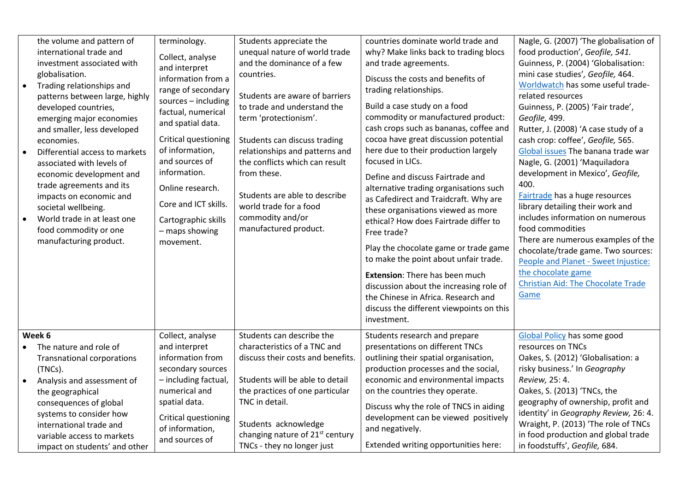| the volume and pattern of<br>international trade and<br>investment associated with<br>globalisation.<br>Trading relationships and<br>$\bullet$<br>patterns between large, highly<br>developed countries,<br>emerging major economies<br>and smaller, less developed<br>economies.<br>Differential access to markets<br>$\bullet$<br>associated with levels of<br>economic development and<br>trade agreements and its<br>impacts on economic and<br>societal wellbeing.<br>World trade in at least one<br>$\bullet$<br>food commodity or one<br>manufacturing product. | terminology.<br>Collect, analyse<br>and interpret<br>information from a<br>range of secondary<br>sources - including<br>factual, numerical<br>and spatial data.<br>Critical questioning<br>of information,<br>and sources of<br>information.<br>Online research.<br>Core and ICT skills.<br>Cartographic skills<br>- maps showing<br>movement. | Students appreciate the<br>unequal nature of world trade<br>and the dominance of a few<br>countries.<br>Students are aware of barriers<br>to trade and understand the<br>term 'protectionism'.<br>Students can discuss trading<br>relationships and patterns and<br>the conflicts which can result<br>from these.<br>Students are able to describe<br>world trade for a food<br>commodity and/or<br>manufactured product. | countries dominate world trade and<br>why? Make links back to trading blocs<br>and trade agreements.<br>Discuss the costs and benefits of<br>trading relationships.<br>Build a case study on a food<br>commodity or manufactured product:<br>cash crops such as bananas, coffee and<br>cocoa have great discussion potential<br>here due to their production largely<br>focused in LICs.<br>Define and discuss Fairtrade and<br>alternative trading organisations such<br>as Cafedirect and Traidcraft. Why are<br>these organisations viewed as more<br>ethical? How does Fairtrade differ to<br>Free trade?<br>Play the chocolate game or trade game<br>to make the point about unfair trade.<br>Extension: There has been much<br>discussion about the increasing role of<br>the Chinese in Africa. Research and<br>discuss the different viewpoints on this<br>investment. | Nagle, G. (2007) 'The globalisation of<br>food production', Geofile, 541.<br>Guinness, P. (2004) 'Globalisation:<br>mini case studies', Geofile, 464.<br>Worldwatch has some useful trade-<br>related resources<br>Guinness, P. (2005) 'Fair trade',<br>Geofile, 499.<br>Rutter, J. (2008) 'A case study of a<br>cash crop: coffee', Geofile, 565.<br>Global issues The banana trade war<br>Nagle, G. (2001) 'Maquiladora<br>development in Mexico', Geofile,<br>400.<br>Fairtrade has a huge resources<br>library detailing their work and<br>includes information on numerous<br>food commodities<br>There are numerous examples of the<br>chocolate/trade game. Two sources:<br>People and Planet - Sweet Injustice:<br>the chocolate game<br>Christian Aid: The Chocolate Trade<br>Game |
|------------------------------------------------------------------------------------------------------------------------------------------------------------------------------------------------------------------------------------------------------------------------------------------------------------------------------------------------------------------------------------------------------------------------------------------------------------------------------------------------------------------------------------------------------------------------|------------------------------------------------------------------------------------------------------------------------------------------------------------------------------------------------------------------------------------------------------------------------------------------------------------------------------------------------|---------------------------------------------------------------------------------------------------------------------------------------------------------------------------------------------------------------------------------------------------------------------------------------------------------------------------------------------------------------------------------------------------------------------------|--------------------------------------------------------------------------------------------------------------------------------------------------------------------------------------------------------------------------------------------------------------------------------------------------------------------------------------------------------------------------------------------------------------------------------------------------------------------------------------------------------------------------------------------------------------------------------------------------------------------------------------------------------------------------------------------------------------------------------------------------------------------------------------------------------------------------------------------------------------------------------|---------------------------------------------------------------------------------------------------------------------------------------------------------------------------------------------------------------------------------------------------------------------------------------------------------------------------------------------------------------------------------------------------------------------------------------------------------------------------------------------------------------------------------------------------------------------------------------------------------------------------------------------------------------------------------------------------------------------------------------------------------------------------------------------|
| Week 6<br>The nature and role of<br><b>Transnational corporations</b><br>(TNCs).<br>Analysis and assessment of<br>the geographical<br>consequences of global<br>systems to consider how<br>international trade and<br>variable access to markets                                                                                                                                                                                                                                                                                                                       | Collect, analyse<br>and interpret<br>information from<br>secondary sources<br>- including factual,<br>numerical and<br>spatial data.<br>Critical questioning<br>of information,<br>and sources of                                                                                                                                              | Students can describe the<br>characteristics of a TNC and<br>discuss their costs and benefits.<br>Students will be able to detail<br>the practices of one particular<br>TNC in detail.<br>Students acknowledge<br>changing nature of 21 <sup>st</sup> century                                                                                                                                                             | Students research and prepare<br>presentations on different TNCs<br>outlining their spatial organisation,<br>production processes and the social,<br>economic and environmental impacts<br>on the countries they operate.<br>Discuss why the role of TNCS in aiding<br>development can be viewed positively<br>and negatively.<br>Extended writing opportunities here:                                                                                                                                                                                                                                                                                                                                                                                                                                                                                                         | <b>Global Policy has some good</b><br>resources on TNCs<br>Oakes, S. (2012) 'Globalisation: a<br>risky business.' In Geography<br>Review, 25: 4.<br>Oakes, S. (2013) 'TNCs, the<br>geography of ownership, profit and<br>identity' in Geography Review, 26: 4.<br>Wraight, P. (2013) 'The role of TNCs<br>in food production and global trade                                                                                                                                                                                                                                                                                                                                                                                                                                               |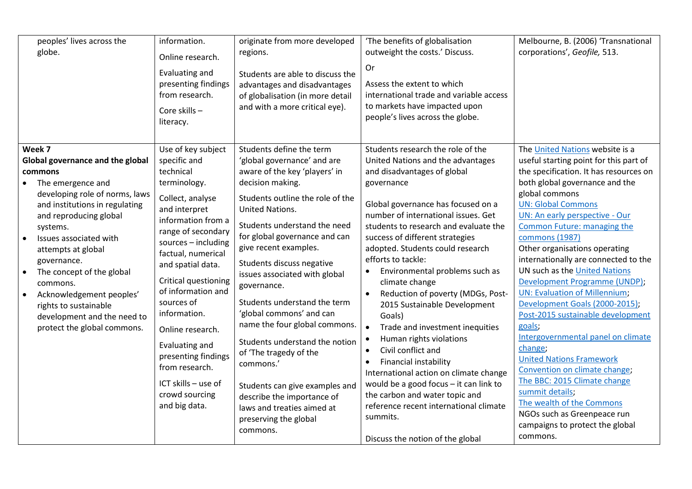| peoples' lives across the<br>globe.                                                                                                                                                                                                                                                                                                                         | information.<br>Online research.<br>Evaluating and<br>presenting findings<br>from research.<br>Core skills-<br>literacy.                                                                                                                                                                                   | originate from more developed<br>regions.<br>Students are able to discuss the<br>advantages and disadvantages<br>of globalisation (in more detail<br>and with a more critical eye).                                                                                                                                                                                                                     | 'The benefits of globalisation<br>outweight the costs.' Discuss.<br>Or<br>Assess the extent to which<br>international trade and variable access<br>to markets have impacted upon<br>people's lives across the globe.                                                                                                                                                                                                                                                                                                             | Melbourne, B. (2006) 'Transnational<br>corporations', Geofile, 513.                                                                                                                                                                                                                                                                                                                                                                                                                                   |
|-------------------------------------------------------------------------------------------------------------------------------------------------------------------------------------------------------------------------------------------------------------------------------------------------------------------------------------------------------------|------------------------------------------------------------------------------------------------------------------------------------------------------------------------------------------------------------------------------------------------------------------------------------------------------------|---------------------------------------------------------------------------------------------------------------------------------------------------------------------------------------------------------------------------------------------------------------------------------------------------------------------------------------------------------------------------------------------------------|----------------------------------------------------------------------------------------------------------------------------------------------------------------------------------------------------------------------------------------------------------------------------------------------------------------------------------------------------------------------------------------------------------------------------------------------------------------------------------------------------------------------------------|-------------------------------------------------------------------------------------------------------------------------------------------------------------------------------------------------------------------------------------------------------------------------------------------------------------------------------------------------------------------------------------------------------------------------------------------------------------------------------------------------------|
| Week 7<br>Global governance and the global                                                                                                                                                                                                                                                                                                                  | Use of key subject<br>specific and                                                                                                                                                                                                                                                                         | Students define the term<br>'global governance' and are                                                                                                                                                                                                                                                                                                                                                 | Students research the role of the<br>United Nations and the advantages                                                                                                                                                                                                                                                                                                                                                                                                                                                           | The United Nations website is a<br>useful starting point for this part of                                                                                                                                                                                                                                                                                                                                                                                                                             |
| commons<br>The emergence and<br>$\bullet$                                                                                                                                                                                                                                                                                                                   | technical<br>terminology.                                                                                                                                                                                                                                                                                  | aware of the key 'players' in<br>decision making.                                                                                                                                                                                                                                                                                                                                                       | and disadvantages of global<br>governance                                                                                                                                                                                                                                                                                                                                                                                                                                                                                        | the specification. It has resources on<br>both global governance and the<br>global commons                                                                                                                                                                                                                                                                                                                                                                                                            |
| developing role of norms, laws<br>and institutions in regulating<br>and reproducing global<br>systems.<br>Issues associated with<br>$\bullet$<br>attempts at global<br>governance.<br>The concept of the global<br>commons.<br>Acknowledgement peoples'<br>$\bullet$<br>rights to sustainable<br>development and the need to<br>protect the global commons. | Collect, analyse<br>and interpret<br>information from a<br>range of secondary<br>sources - including<br>factual, numerical<br>and spatial data.<br>Critical questioning<br>of information and<br>sources of<br>information.<br>Online research.<br>Evaluating and<br>presenting findings<br>from research. | Students outline the role of the<br><b>United Nations.</b><br>Students understand the need<br>for global governance and can<br>give recent examples.<br>Students discuss negative<br>issues associated with global<br>governance.<br>Students understand the term<br>'global commons' and can<br>name the four global commons.<br>Students understand the notion<br>of 'The tragedy of the<br>commons.' | Global governance has focused on a<br>number of international issues. Get<br>students to research and evaluate the<br>success of different strategies<br>adopted. Students could research<br>efforts to tackle:<br>Environmental problems such as<br>climate change<br>Reduction of poverty (MDGs, Post-<br>$\bullet$<br>2015 Sustainable Development<br>Goals)<br>Trade and investment inequities<br>$\bullet$<br>Human rights violations<br>$\bullet$<br>Civil conflict and<br>$\bullet$<br>Financial instability<br>$\bullet$ | <b>UN: Global Commons</b><br>UN: An early perspective - Our<br>Common Future: managing the<br>commons (1987)<br>Other organisations operating<br>internationally are connected to the<br>UN such as the United Nations<br>Development Programme (UNDP);<br><b>UN: Evaluation of Millennium;</b><br>Development Goals (2000-2015);<br>Post-2015 sustainable development<br>goals;<br>Intergovernmental panel on climate<br>change;<br><b>United Nations Framework</b><br>Convention on climate change; |
|                                                                                                                                                                                                                                                                                                                                                             | ICT skills - use of<br>crowd sourcing<br>and big data.                                                                                                                                                                                                                                                     | Students can give examples and<br>describe the importance of<br>laws and treaties aimed at<br>preserving the global<br>commons.                                                                                                                                                                                                                                                                         | International action on climate change<br>would be a good focus - it can link to<br>the carbon and water topic and<br>reference recent international climate<br>summits.<br>Discuss the notion of the global                                                                                                                                                                                                                                                                                                                     | The BBC: 2015 Climate change<br>summit details;<br>The wealth of the Commons<br>NGOs such as Greenpeace run<br>campaigns to protect the global<br>commons.                                                                                                                                                                                                                                                                                                                                            |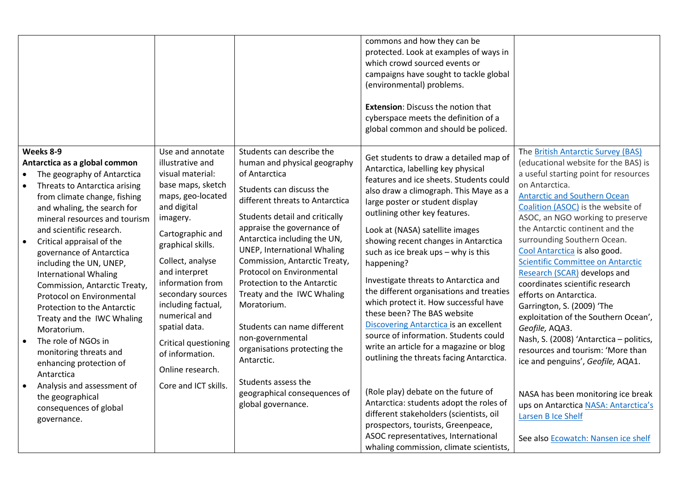|                                                                                                                                                                                                                                                                                                                                                                                                                                                                                                                                                                                                             |                                                                                                                                                                                                                                                                                                                                                                             |                                                                                                                                                                                                                                                                                                                                                                                                                                                                                                                            | commons and how they can be<br>protected. Look at examples of ways in<br>which crowd sourced events or<br>campaigns have sought to tackle global<br>(environmental) problems.<br><b>Extension: Discuss the notion that</b><br>cyberspace meets the definition of a<br>global common and should be policed.                                                                                                                                                                                                                                                                                                                                                                                                   |                                                                                                                                                                                                                                                                                                                                                                                                                                                                                                                                                                                                                                                                                                                 |
|-------------------------------------------------------------------------------------------------------------------------------------------------------------------------------------------------------------------------------------------------------------------------------------------------------------------------------------------------------------------------------------------------------------------------------------------------------------------------------------------------------------------------------------------------------------------------------------------------------------|-----------------------------------------------------------------------------------------------------------------------------------------------------------------------------------------------------------------------------------------------------------------------------------------------------------------------------------------------------------------------------|----------------------------------------------------------------------------------------------------------------------------------------------------------------------------------------------------------------------------------------------------------------------------------------------------------------------------------------------------------------------------------------------------------------------------------------------------------------------------------------------------------------------------|--------------------------------------------------------------------------------------------------------------------------------------------------------------------------------------------------------------------------------------------------------------------------------------------------------------------------------------------------------------------------------------------------------------------------------------------------------------------------------------------------------------------------------------------------------------------------------------------------------------------------------------------------------------------------------------------------------------|-----------------------------------------------------------------------------------------------------------------------------------------------------------------------------------------------------------------------------------------------------------------------------------------------------------------------------------------------------------------------------------------------------------------------------------------------------------------------------------------------------------------------------------------------------------------------------------------------------------------------------------------------------------------------------------------------------------------|
| Weeks 8-9<br>Antarctica as a global common<br>The geography of Antarctica<br>Threats to Antarctica arising<br>from climate change, fishing<br>and whaling, the search for<br>mineral resources and tourism<br>and scientific research.<br>Critical appraisal of the<br>$\bullet$<br>governance of Antarctica<br>including the UN, UNEP,<br><b>International Whaling</b><br>Commission, Antarctic Treaty,<br>Protocol on Environmental<br>Protection to the Antarctic<br>Treaty and the IWC Whaling<br>Moratorium.<br>The role of NGOs in<br>monitoring threats and<br>enhancing protection of<br>Antarctica | Use and annotate<br>illustrative and<br>visual material:<br>base maps, sketch<br>maps, geo-located<br>and digital<br>imagery.<br>Cartographic and<br>graphical skills.<br>Collect, analyse<br>and interpret<br>information from<br>secondary sources<br>including factual,<br>numerical and<br>spatial data.<br>Critical questioning<br>of information.<br>Online research. | Students can describe the<br>human and physical geography<br>of Antarctica<br>Students can discuss the<br>different threats to Antarctica<br>Students detail and critically<br>appraise the governance of<br>Antarctica including the UN,<br><b>UNEP, International Whaling</b><br>Commission, Antarctic Treaty,<br>Protocol on Environmental<br>Protection to the Antarctic<br>Treaty and the IWC Whaling<br>Moratorium.<br>Students can name different<br>non-governmental<br>organisations protecting the<br>Antarctic. | Get students to draw a detailed map of<br>Antarctica, labelling key physical<br>features and ice sheets. Students could<br>also draw a climograph. This Maye as a<br>large poster or student display<br>outlining other key features.<br>Look at (NASA) satellite images<br>showing recent changes in Antarctica<br>such as ice break ups - why is this<br>happening?<br>Investigate threats to Antarctica and<br>the different organisations and treaties<br>which protect it. How successful have<br>these been? The BAS website<br>Discovering Antarctica is an excellent<br>source of information. Students could<br>write an article for a magazine or blog<br>outlining the threats facing Antarctica. | The British Antarctic Survey (BAS)<br>(educational website for the BAS) is<br>a useful starting point for resources<br>on Antarctica.<br><b>Antarctic and Southern Ocean</b><br>Coalition (ASOC) is the website of<br>ASOC, an NGO working to preserve<br>the Antarctic continent and the<br>surrounding Southern Ocean.<br>Cool Antarctica is also good.<br><b>Scientific Committee on Antarctic</b><br>Research (SCAR) develops and<br>coordinates scientific research<br>efforts on Antarctica.<br>Garrington, S. (2009) 'The<br>exploitation of the Southern Ocean',<br>Geofile, AQA3.<br>Nash, S. (2008) 'Antarctica - politics,<br>resources and tourism: 'More than<br>ice and penguins', Geofile, AQA1. |
| Analysis and assessment of<br>the geographical<br>consequences of global<br>governance.                                                                                                                                                                                                                                                                                                                                                                                                                                                                                                                     | Core and ICT skills.                                                                                                                                                                                                                                                                                                                                                        | Students assess the<br>geographical consequences of<br>global governance.                                                                                                                                                                                                                                                                                                                                                                                                                                                  | (Role play) debate on the future of<br>Antarctica: students adopt the roles of<br>different stakeholders (scientists, oil<br>prospectors, tourists, Greenpeace,<br>ASOC representatives, International<br>whaling commission, climate scientists,                                                                                                                                                                                                                                                                                                                                                                                                                                                            | NASA has been monitoring ice break<br>ups on Antarctica NASA: Antarctica's<br>Larsen B Ice Shelf<br>See also <b>Ecowatch: Nansen ice shelf</b>                                                                                                                                                                                                                                                                                                                                                                                                                                                                                                                                                                  |